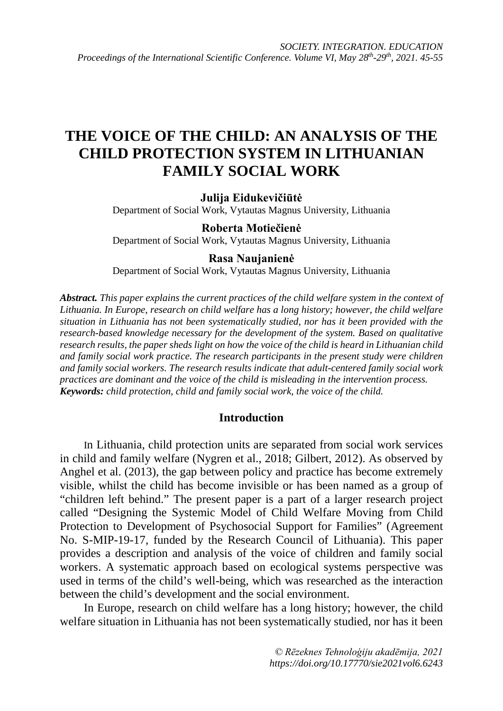# **THE VOICE OF THE CHILD: AN ANALYSIS OF THE CHILD PROTECTION SYSTEM IN LITHUANIAN FAMILY SOCIAL WORK**

**Julija Eidukevičiūtė**

Department of Social Work, Vytautas Magnus University, Lithuania

## **Roberta Motiečienė**

Department of Social Work, Vytautas Magnus University, Lithuania

## **Rasa Naujanienė**

Department of Social Work, Vytautas Magnus University, Lithuania

*Abstract. This paper explains the current practices of the child welfare system in the context of Lithuania. In Europe, research on child welfare has a long history; however, the child welfare situation in Lithuania has not been systematically studied, nor has it been provided with the research-based knowledge necessary for the development of the system. Based on qualitative research results, the paper sheds light on how the voice of the child is heard in Lithuanian child and family social work practice. The research participants in the present study were children and family social workers. The research results indicate that adult-centered family social work practices are dominant and the voice of the child is misleading in the intervention process. Keywords: child protection, child and family social work, the voice of the child.*

## **Introduction**

In Lithuania, child protection units are separated from social work services in child and family welfare (Nygren et al., 2018; Gilbert, 2012). As observed by Anghel et al. (2013), the gap between policy and practice has become extremely visible, whilst the child has become invisible or has been named as a group of "children left behind." The present paper is a part of a larger research project called "Designing the Systemic Model of Child Welfare Moving from Child Protection to Development of Psychosocial Support for Families" (Agreement No. S-MIP-19-17, funded by the Research Council of Lithuania). This paper provides a description and analysis of the voice of children and family social workers. A systematic approach based on ecological systems perspective was used in terms of the child's well-being, which was researched as the interaction between the child's development and the social environment.

In Europe, research on child welfare has a long history; however, the child welfare situation in Lithuania has not been systematically studied, nor has it been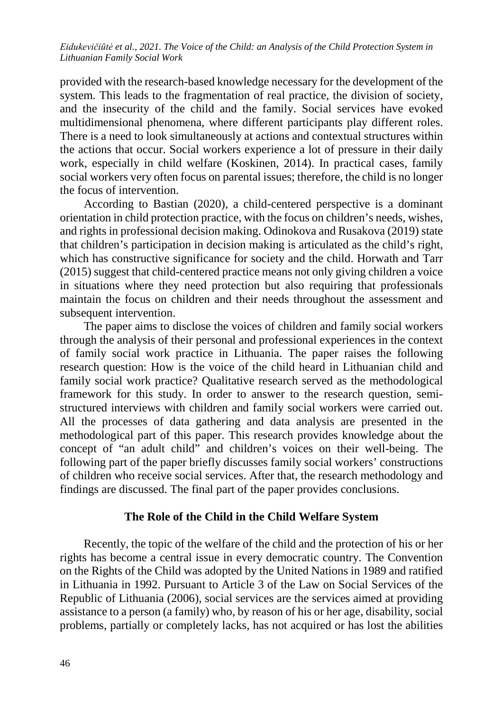provided with the research-based knowledge necessary for the development of the system. This leads to the fragmentation of real practice, the division of society, and the insecurity of the child and the family. Social services have evoked multidimensional phenomena, where different participants play different roles. There is a need to look simultaneously at actions and contextual structures within the actions that occur. Social workers experience a lot of pressure in their daily work, especially in child welfare (Koskinen, 2014). In practical cases, family social workers very often focus on parental issues; therefore, the child is no longer the focus of intervention.

According to Bastian (2020), a child-centered perspective is a dominant orientation in child protection practice, with the focus on children's needs, wishes, and rights in professional decision making. Odinokova and Rusakova (2019) state that children's participation in decision making is articulated as the child's right, which has constructive significance for society and the child. Horwath and Tarr (2015) suggest that child-centered practice means not only giving children a voice in situations where they need protection but also requiring that professionals maintain the focus on children and their needs throughout the assessment and subsequent intervention.

The paper aims to disclose the voices of children and family social workers through the analysis of their personal and professional experiences in the context of family social work practice in Lithuania. The paper raises the following research question: How is the voice of the child heard in Lithuanian child and family social work practice? Qualitative research served as the methodological framework for this study. In order to answer to the research question, semistructured interviews with children and family social workers were carried out. All the processes of data gathering and data analysis are presented in the methodological part of this paper. This research provides knowledge about the concept of "an adult child" and children's voices on their well-being. The following part of the paper briefly discusses family social workers' constructions of children who receive social services. After that, the research methodology and findings are discussed. The final part of the paper provides conclusions.

## **The Role of the Child in the Child Welfare System**

Recently, the topic of the welfare of the child and the protection of his or her rights has become a central issue in every democratic country. The Convention on the Rights of the Child was adopted by the United Nations in 1989 and ratified in Lithuania in 1992. Pursuant to Article 3 of the Law on Social Services of the Republic of Lithuania (2006), social services are the services aimed at providing assistance to a person (a family) who, by reason of his or her age, disability, social problems, partially or completely lacks, has not acquired or has lost the abilities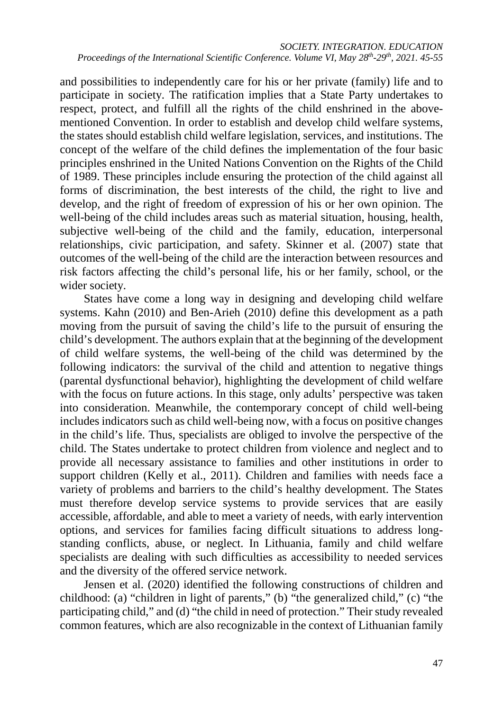and possibilities to independently care for his or her private (family) life and to participate in society. The ratification implies that a State Party undertakes to respect, protect, and fulfill all the rights of the child enshrined in the abovementioned Convention. In order to establish and develop child welfare systems, the states should establish child welfare legislation, services, and institutions. The concept of the welfare of the child defines the implementation of the four basic principles enshrined in the United Nations Convention on the Rights of the Child of 1989. These principles include ensuring the protection of the child against all forms of discrimination, the best interests of the child, the right to live and develop, and the right of freedom of expression of his or her own opinion. The well-being of the child includes areas such as material situation, housing, health, subjective well-being of the child and the family, education, interpersonal relationships, civic participation, and safety. Skinner et al. (2007) state that outcomes of the well-being of the child are the interaction between resources and risk factors affecting the child's personal life, his or her family, school, or the wider society.

States have come a long way in designing and developing child welfare systems. Kahn (2010) and Ben-Arieh (2010) define this development as a path moving from the pursuit of saving the child's life to the pursuit of ensuring the child's development. The authors explain that at the beginning of the development of child welfare systems, the well-being of the child was determined by the following indicators: the survival of the child and attention to negative things (parental dysfunctional behavior), highlighting the development of child welfare with the focus on future actions. In this stage, only adults' perspective was taken into consideration. Meanwhile, the contemporary concept of child well-being includes indicators such as child well-being now, with a focus on positive changes in the child's life. Thus, specialists are obliged to involve the perspective of the child. The States undertake to protect children from violence and neglect and to provide all necessary assistance to families and other institutions in order to support children (Kelly et al., 2011). Children and families with needs face a variety of problems and barriers to the child's healthy development. The States must therefore develop service systems to provide services that are easily accessible, affordable, and able to meet a variety of needs, with early intervention options, and services for families facing difficult situations to address longstanding conflicts, abuse, or neglect. In Lithuania, family and child welfare specialists are dealing with such difficulties as accessibility to needed services and the diversity of the offered service network.

Jensen et al. (2020) identified the following constructions of children and childhood: (a) "children in light of parents," (b) "the generalized child," (c) "the participating child," and (d) "the child in need of protection." Their study revealed common features, which are also recognizable in the context of Lithuanian family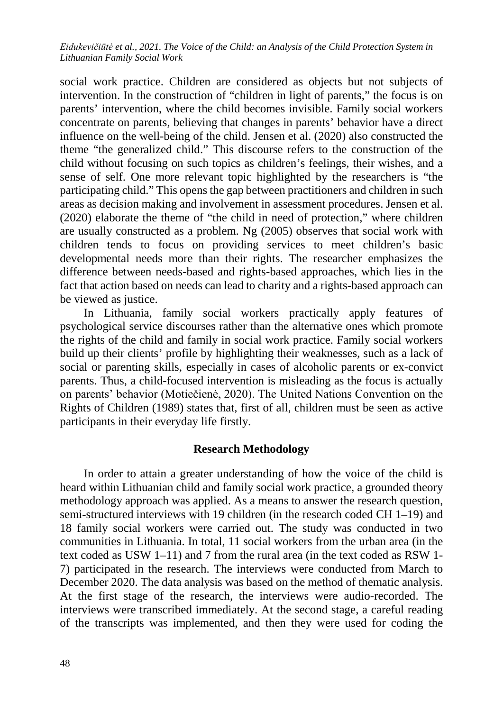social work practice. Children are considered as objects but not subjects of intervention. In the construction of "children in light of parents," the focus is on parents' intervention, where the child becomes invisible. Family social workers concentrate on parents, believing that changes in parents' behavior have a direct influence on the well-being of the child. Jensen et al. (2020) also constructed the theme "the generalized child." This discourse refers to the construction of the child without focusing on such topics as children's feelings, their wishes, and a sense of self. One more relevant topic highlighted by the researchers is "the participating child." This opens the gap between practitioners and children in such areas as decision making and involvement in assessment procedures. Jensen et al. (2020) elaborate the theme of "the child in need of protection," where children are usually constructed as a problem. Ng (2005) observes that social work with children tends to focus on providing services to meet children's basic developmental needs more than their rights. The researcher emphasizes the difference between needs-based and rights-based approaches, which lies in the fact that action based on needs can lead to charity and a rights-based approach can be viewed as justice.

In Lithuania, family social workers practically apply features of psychological service discourses rather than the alternative ones which promote the rights of the child and family in social work practice. Family social workers build up their clients' profile by highlighting their weaknesses, such as a lack of social or parenting skills, especially in cases of alcoholic parents or ex-convict parents. Thus, a child-focused intervention is misleading as the focus is actually on parents' behavior (Motiečienė, 2020). The United Nations Convention on the Rights of Children (1989) states that, first of all, children must be seen as active participants in their everyday life firstly.

### **Research Methodology**

In order to attain a greater understanding of how the voice of the child is heard within Lithuanian child and family social work practice, a grounded theory methodology approach was applied. As a means to answer the research question, semi-structured interviews with 19 children (in the research coded CH 1–19) and 18 family social workers were carried out. The study was conducted in two communities in Lithuania. In total, 11 social workers from the urban area (in the text coded as USW 1–11) and 7 from the rural area (in the text coded as RSW 1- 7) participated in the research. The interviews were conducted from March to December 2020. The data analysis was based on the method of thematic analysis. At the first stage of the research, the interviews were audio-recorded. The interviews were transcribed immediately. At the second stage, a careful reading of the transcripts was implemented, and then they were used for coding the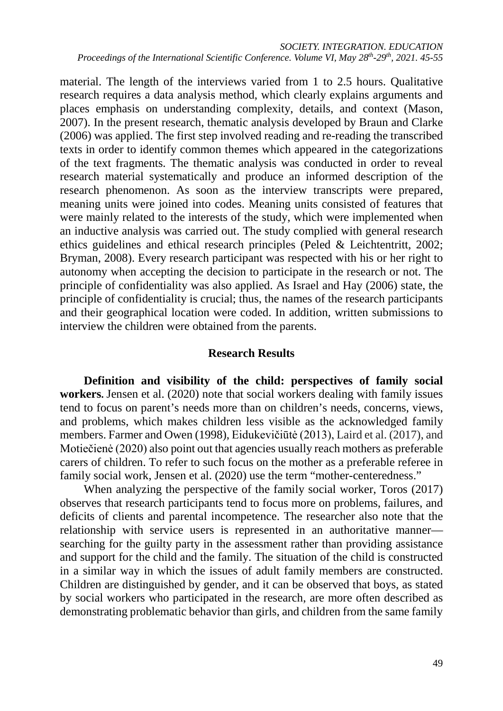material. The length of the interviews varied from 1 to 2.5 hours. Qualitative research requires a data analysis method, which clearly explains arguments and places emphasis on understanding complexity, details, and context (Mason, 2007). In the present research, thematic analysis developed by Braun and Clarke (2006) was applied. The first step involved reading and re-reading the transcribed texts in order to identify common themes which appeared in the categorizations of the text fragments. The thematic analysis was conducted in order to reveal research material systematically and produce an informed description of the research phenomenon. As soon as the interview transcripts were prepared, meaning units were joined into codes. Meaning units consisted of features that were mainly related to the interests of the study, which were implemented when an inductive analysis was carried out. The study complied with general research ethics guidelines and ethical research principles (Peled & Leichtentritt, 2002; Bryman, 2008). Every research participant was respected with his or her right to autonomy when accepting the decision to participate in the research or not. The principle of confidentiality was also applied. As Israel and Hay (2006) state, the principle of confidentiality is crucial; thus, the names of the research participants and their geographical location were coded. In addition, written submissions to interview the children were obtained from the parents.

## **Research Results**

**Definition and visibility of the child: perspectives of family social workers.** Jensen et al. (2020) note that social workers dealing with family issues tend to focus on parent's needs more than on children's needs, concerns, views, and problems, which makes children less visible as the acknowledged family members. Farmer and Owen (1998), Eidukevičiūtė (2013), Laird et al. (2017), and Motiečienė (2020) also point out that agencies usually reach mothers as preferable carers of children. To refer to such focus on the mother as a preferable referee in family social work, Jensen et al. (2020) use the term "mother-centeredness."

When analyzing the perspective of the family social worker, Toros (2017) observes that research participants tend to focus more on problems, failures, and deficits of clients and parental incompetence. The researcher also note that the relationship with service users is represented in an authoritative manner searching for the guilty party in the assessment rather than providing assistance and support for the child and the family. The situation of the child is constructed in a similar way in which the issues of adult family members are constructed. Children are distinguished by gender, and it can be observed that boys, as stated by social workers who participated in the research, are more often described as demonstrating problematic behavior than girls, and children from the same family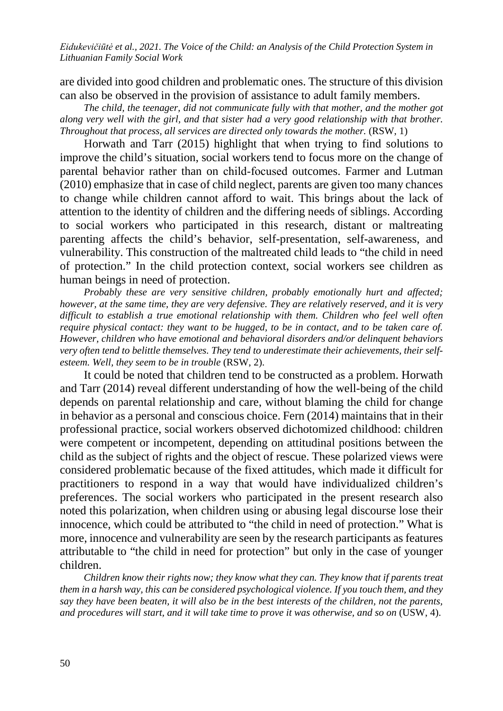are divided into good children and problematic ones. The structure of this division can also be observed in the provision of assistance to adult family members.

*The child, the teenager, did not communicate fully with that mother, and the mother got along very well with the girl, and that sister had a very good relationship with that brother. Throughout that process, all services are directed only towards the mother.* (RSW, 1)

Horwath and Tarr (2015) highlight that when trying to find solutions to improve the child's situation, social workers tend to focus more on the change of parental behavior rather than on child‐focused outcomes. Farmer and Lutman (2010) emphasize that in case of child neglect, parents are given too many chances to change while children cannot afford to wait. This brings about the lack of attention to the identity of children and the differing needs of siblings. According to social workers who participated in this research, distant or maltreating parenting affects the child's behavior, self-presentation, self-awareness, and vulnerability. This construction of the maltreated child leads to "the child in need of protection." In the child protection context, social workers see children as human beings in need of protection.

*Probably these are very sensitive children, probably emotionally hurt and affected; however, at the same time, they are very defensive. They are relatively reserved, and it is very difficult to establish a true emotional relationship with them. Children who feel well often require physical contact: they want to be hugged, to be in contact, and to be taken care of. However, children who have emotional and behavioral disorders and/or delinquent behaviors very often tend to belittle themselves. They tend to underestimate their achievements, their selfesteem. Well, they seem to be in trouble* (RSW, 2).

It could be noted that children tend to be constructed as a problem. Horwath and Tarr (2014) reveal different understanding of how the well-being of the child depends on parental relationship and care, without blaming the child for change in behavior as a personal and conscious choice. Fern (2014) maintains that in their professional practice, social workers observed dichotomized childhood: children were competent or incompetent, depending on attitudinal positions between the child as the subject of rights and the object of rescue. These polarized views were considered problematic because of the fixed attitudes, which made it difficult for practitioners to respond in a way that would have individualized children's preferences. The social workers who participated in the present research also noted this polarization, when children using or abusing legal discourse lose their innocence, which could be attributed to "the child in need of protection." What is more, innocence and vulnerability are seen by the research participants as features attributable to "the child in need for protection" but only in the case of younger children.

*Children know their rights now; they know what they can. They know that if parents treat them in a harsh way, this can be considered psychological violence. If you touch them, and they say they have been beaten, it will also be in the best interests of the children, not the parents, and procedures will start, and it will take time to prove it was otherwise, and so on* (USW, 4).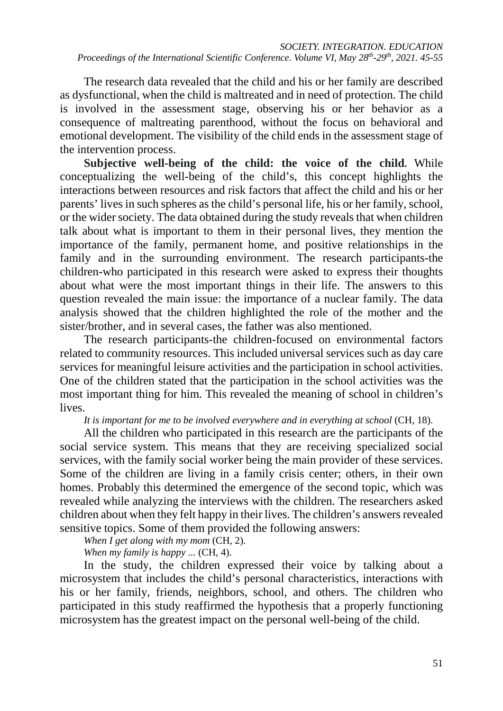The research data revealed that the child and his or her family are described as dysfunctional, when the child is maltreated and in need of protection. The child is involved in the assessment stage, observing his or her behavior as a consequence of maltreating parenthood, without the focus on behavioral and emotional development. The visibility of the child ends in the assessment stage of the intervention process.

**Subjective well-being of the child: the voice of the child.** While conceptualizing the well-being of the child's, this concept highlights the interactions between resources and risk factors that affect the child and his or her parents' lives in such spheres as the child's personal life, his or her family, school, or the wider society. The data obtained during the study reveals that when children talk about what is important to them in their personal lives, they mention the importance of the family, permanent home, and positive relationships in the family and in the surrounding environment. The research participants-the children-who participated in this research were asked to express their thoughts about what were the most important things in their life. The answers to this question revealed the main issue: the importance of a nuclear family. The data analysis showed that the children highlighted the role of the mother and the sister/brother, and in several cases, the father was also mentioned.

The research participants-the children-focused on environmental factors related to community resources. This included universal services such as day care services for meaningful leisure activities and the participation in school activities. One of the children stated that the participation in the school activities was the most important thing for him. This revealed the meaning of school in children's lives.

*It is important for me to be involved everywhere and in everything at school* (CH, 18).

All the children who participated in this research are the participants of the social service system. This means that they are receiving specialized social services, with the family social worker being the main provider of these services. Some of the children are living in a family crisis center; others, in their own homes. Probably this determined the emergence of the second topic, which was revealed while analyzing the interviews with the children. The researchers asked children about when they felt happy in their lives. The children's answers revealed sensitive topics. Some of them provided the following answers:

*When I get along with my mom* (CH, 2).

*When my family is happy ...* (CH, 4).

In the study, the children expressed their voice by talking about a microsystem that includes the child's personal characteristics, interactions with his or her family, friends, neighbors, school, and others. The children who participated in this study reaffirmed the hypothesis that a properly functioning microsystem has the greatest impact on the personal well-being of the child.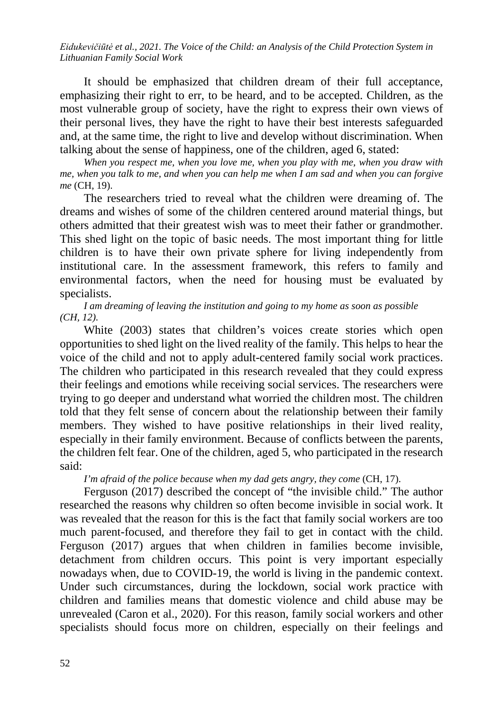It should be emphasized that children dream of their full acceptance, emphasizing their right to err, to be heard, and to be accepted. Children, as the most vulnerable group of society, have the right to express their own views of their personal lives, they have the right to have their best interests safeguarded and, at the same time, the right to live and develop without discrimination. When talking about the sense of happiness, one of the children, aged 6, stated:

*When you respect me, when you love me, when you play with me, when you draw with me, when you talk to me, and when you can help me when I am sad and when you can forgive me* (CH, 19).

The researchers tried to reveal what the children were dreaming of. The dreams and wishes of some of the children centered around material things, but others admitted that their greatest wish was to meet their father or grandmother. This shed light on the topic of basic needs. The most important thing for little children is to have their own private sphere for living independently from institutional care. In the assessment framework, this refers to family and environmental factors, when the need for housing must be evaluated by specialists.

*I am dreaming of leaving the institution and going to my home as soon as possible (CH, 12).*

White (2003) states that children's voices create stories which open opportunities to shed light on the lived reality of the family. This helps to hear the voice of the child and not to apply adult-centered family social work practices. The children who participated in this research revealed that they could express their feelings and emotions while receiving social services. The researchers were trying to go deeper and understand what worried the children most. The children told that they felt sense of concern about the relationship between their family members. They wished to have positive relationships in their lived reality, especially in their family environment. Because of conflicts between the parents, the children felt fear. One of the children, aged 5, who participated in the research said:

*I'm afraid of the police because when my dad gets angry, they come* (CH, 17).

Ferguson (2017) described the concept of "the invisible child." The author researched the reasons why children so often become invisible in social work. It was revealed that the reason for this is the fact that family social workers are too much parent-focused, and therefore they fail to get in contact with the child. Ferguson (2017) argues that when children in families become invisible, detachment from children occurs. This point is very important especially nowadays when, due to COVID-19, the world is living in the pandemic context. Under such circumstances, during the lockdown, social work practice with children and families means that domestic violence and child abuse may be unrevealed (Caron et al., 2020). For this reason, family social workers and other specialists should focus more on children, especially on their feelings and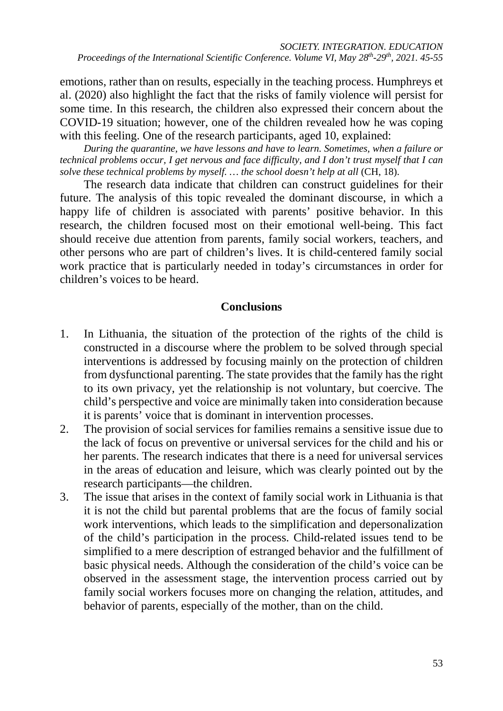emotions, rather than on results, especially in the teaching process. Humphreys et al. (2020) also highlight the fact that the risks of family violence will persist for some time. In this research, the children also expressed their concern about the COVID-19 situation; however, one of the children revealed how he was coping with this feeling. One of the research participants, aged 10, explained:

*During the quarantine, we have lessons and have to learn. Sometimes, when a failure or technical problems occur, I get nervous and face difficulty, and I don't trust myself that I can solve these technical problems by myself. … the school doesn't help at all* (CH, 18).

The research data indicate that children can construct guidelines for their future. The analysis of this topic revealed the dominant discourse, in which a happy life of children is associated with parents' positive behavior. In this research, the children focused most on their emotional well-being. This fact should receive due attention from parents, family social workers, teachers, and other persons who are part of children's lives. It is child-centered family social work practice that is particularly needed in today's circumstances in order for children's voices to be heard.

## **Conclusions**

- 1. In Lithuania, the situation of the protection of the rights of the child is constructed in a discourse where the problem to be solved through special interventions is addressed by focusing mainly on the protection of children from dysfunctional parenting. The state provides that the family has the right to its own privacy, yet the relationship is not voluntary, but coercive. The child's perspective and voice are minimally taken into consideration because it is parents' voice that is dominant in intervention processes.
- 2. The provision of social services for families remains a sensitive issue due to the lack of focus on preventive or universal services for the child and his or her parents. The research indicates that there is a need for universal services in the areas of education and leisure, which was clearly pointed out by the research participants—the children.
- 3. The issue that arises in the context of family social work in Lithuania is that it is not the child but parental problems that are the focus of family social work interventions, which leads to the simplification and depersonalization of the child's participation in the process. Child-related issues tend to be simplified to a mere description of estranged behavior and the fulfillment of basic physical needs. Although the consideration of the child's voice can be observed in the assessment stage, the intervention process carried out by family social workers focuses more on changing the relation, attitudes, and behavior of parents, especially of the mother, than on the child.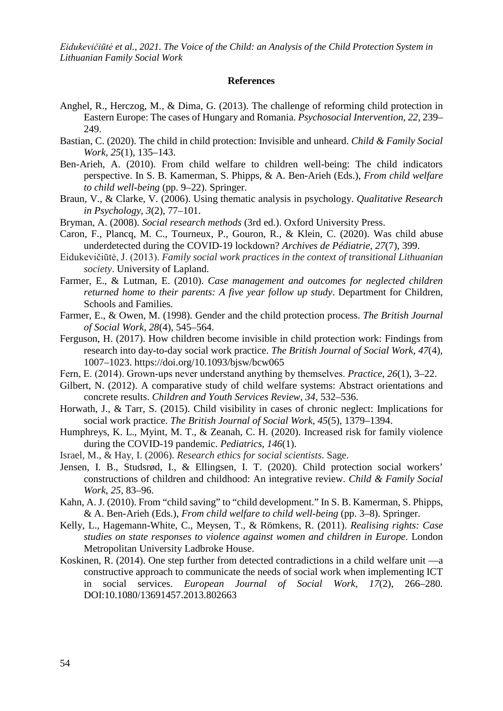#### **References**

- Anghel, R., Herczog, M., & Dima, G. (2013). The challenge of reforming child protection in Eastern Europe: The cases of Hungary and Romania. *Psychosocial Intervention*, *22*, 239– 249.
- Bastian, C. (2020). The child in child protection: Invisible and unheard. *Child & Family Social Work*, *25*(1), 135–143.
- Ben-Arieh, A. (2010). From child welfare to children well-being: The child indicators perspective. In S. B. Kamerman, S. Phipps, & A. Ben-Arieh (Eds.), *From child welfare to child well-being* (pp. 9–22). Springer.
- Braun, V., & Clarke, V. (2006). Using thematic analysis in psychology. *Qualitative Research in Psychology*, *3*(2), 77–101.
- Bryman, A. (2008). *Social research methods* (3rd ed.). Oxford University Press.
- Caron, F., Plancq, M. C., Tourneux, P., Gouron, R., & Klein, C. (2020). Was child abuse underdetected during the COVID-19 lockdown? *Archives de Pédiatrie*, *27*(7), 399.
- Eidukevičiūtė, J. (2013). *Family social work practices in the context of transitional Lithuanian society*. University of Lapland.
- Farmer, E., & Lutman, E. (2010). *Case management and outcomes for neglected children returned home to their parents: A five year follow up study*. Department for Children, Schools and Families.
- Farmer, E., & Owen, M. (1998). Gender and the child protection process. *The British Journal of Social Work*, *28*(4), 545–564.
- Ferguson, H. (2017). How children become invisible in child protection work: Findings from research into day-to-day social work practice. *The British Journal of Social Work*, *47*(4), 1007–1023. https://doi.org/10.1093/bjsw/bcw065
- Fern, E. (2014). Grown‐ups never understand anything by themselves. *Practice*, *26*(1), 3–22.
- Gilbert, N. (2012). A comparative study of child welfare systems: Abstract orientations and concrete results. *Children and Youth Services Review*, *34*, 532–536.
- Horwath, J., & Tarr, S. (2015). Child visibility in cases of chronic neglect: Implications for social work practice. *The British Journal of Social Work*, *45*(5), 1379–1394.
- Humphreys, K. L., Myint, M. T., & Zeanah, C. H. (2020). Increased risk for family violence during the COVID-19 pandemic. *Pediatrics*, *146*(1).
- Israel, M., & Hay, I. (2006). *Research ethics for social scientists*. Sage.
- Jensen, I. B., Studsrød, I., & Ellingsen, I. T. (2020). Child protection social workers' constructions of children and childhood: An integrative review. *Child & Family Social Work*, *25*, 83–96.
- Kahn, A. J. (2010). From "child saving" to "child development." In S. B. Kamerman, S. Phipps, & A. Ben-Arieh (Eds.), *From child welfare to child well-being* (pp. 3–8). Springer.
- Kelly, L., Hagemann-White, C., Meysen, T., & Römkens, R. (2011). *Realising rights: Case studies on state responses to violence against women and children in Europe*. London Metropolitan University Ladbroke House.
- Koskinen, R. (2014). One step further from detected contradictions in a child welfare unit —a constructive approach to communicate the needs of social work when implementing ICT in social services. *European Journal of Social Work*, *17*(2), 266–280. DOI:10.1080/13691457.2013.802663